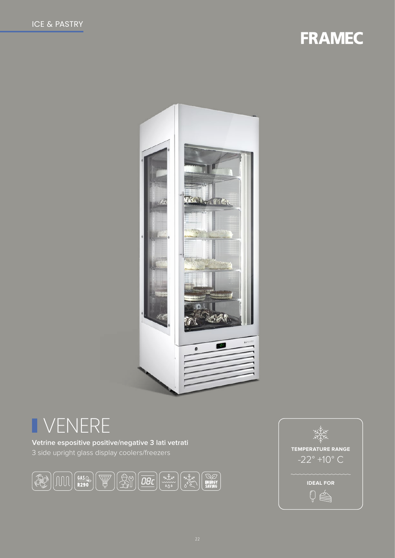# **FRAMEC**



# I VENERE

Vetrine espositive positive/negative 3 lati vetrati 3 side upright glass display coolers/freezers